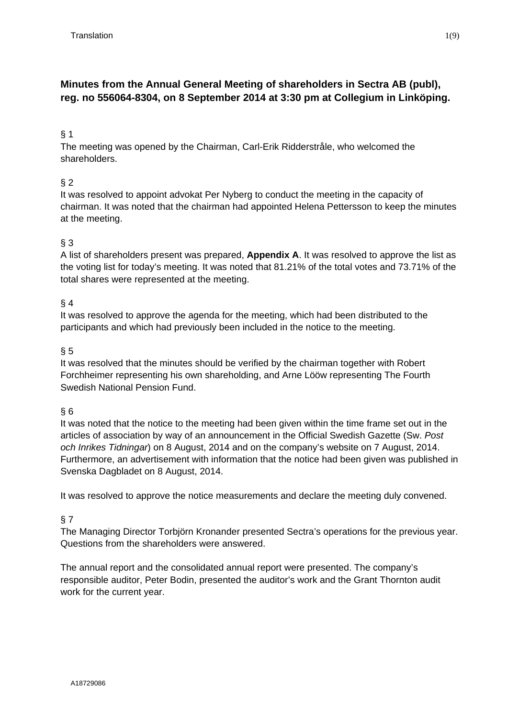## **Minutes from the Annual General Meeting of shareholders in Sectra AB (publ), reg. no 556064-8304, on 8 September 2014 at 3:30 pm at Collegium in Linköping.**

## § 1

The meeting was opened by the Chairman, Carl-Erik Ridderstråle, who welcomed the shareholders.

## § 2

It was resolved to appoint advokat Per Nyberg to conduct the meeting in the capacity of chairman. It was noted that the chairman had appointed Helena Pettersson to keep the minutes at the meeting.

## § 3

A list of shareholders present was prepared, **Appendix A**. It was resolved to approve the list as the voting list for today's meeting. It was noted that 81.21% of the total votes and 73.71% of the total shares were represented at the meeting.

## § 4

It was resolved to approve the agenda for the meeting, which had been distributed to the participants and which had previously been included in the notice to the meeting.

## $§ 5$

It was resolved that the minutes should be verified by the chairman together with Robert Forchheimer representing his own shareholding, and Arne Lööw representing The Fourth Swedish National Pension Fund.

## § 6

It was noted that the notice to the meeting had been given within the time frame set out in the articles of association by way of an announcement in the Official Swedish Gazette (Sw. *Post och Inrikes Tidningar*) on 8 August, 2014 and on the company's website on 7 August, 2014. Furthermore, an advertisement with information that the notice had been given was published in Svenska Dagbladet on 8 August, 2014.

It was resolved to approve the notice measurements and declare the meeting duly convened.

## § 7

The Managing Director Torbjörn Kronander presented Sectra's operations for the previous year. Questions from the shareholders were answered.

The annual report and the consolidated annual report were presented. The company's responsible auditor, Peter Bodin, presented the auditor's work and the Grant Thornton audit work for the current year.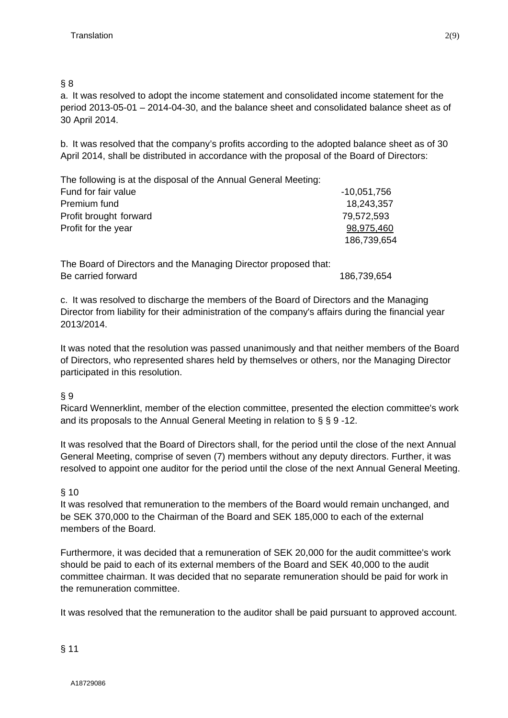## § 8

a. It was resolved to adopt the income statement and consolidated income statement for the period 2013-05-01 – 2014-04-30, and the balance sheet and consolidated balance sheet as of 30 April 2014.

b. It was resolved that the company's profits according to the adopted balance sheet as of 30 April 2014, shall be distributed in accordance with the proposal of the Board of Directors:

| The following is at the disposal of the Annual General Meeting: |               |
|-----------------------------------------------------------------|---------------|
| Fund for fair value                                             | $-10,051,756$ |
| Premium fund                                                    | 18,243,357    |
| Profit brought forward                                          | 79,572,593    |
| Profit for the year                                             | 98,975,460    |
|                                                                 | 186,739,654   |

The Board of Directors and the Managing Director proposed that: Be carried forward 186,739,654

c. It was resolved to discharge the members of the Board of Directors and the Managing Director from liability for their administration of the company's affairs during the financial year 2013/2014.

It was noted that the resolution was passed unanimously and that neither members of the Board of Directors, who represented shares held by themselves or others, nor the Managing Director participated in this resolution.

## § 9

Ricard Wennerklint, member of the election committee, presented the election committee's work and its proposals to the Annual General Meeting in relation to § § 9 -12.

It was resolved that the Board of Directors shall, for the period until the close of the next Annual General Meeting, comprise of seven (7) members without any deputy directors. Further, it was resolved to appoint one auditor for the period until the close of the next Annual General Meeting.

## § 10

It was resolved that remuneration to the members of the Board would remain unchanged, and be SEK 370,000 to the Chairman of the Board and SEK 185,000 to each of the external members of the Board.

Furthermore, it was decided that a remuneration of SEK 20,000 for the audit committee's work should be paid to each of its external members of the Board and SEK 40,000 to the audit committee chairman. It was decided that no separate remuneration should be paid for work in the remuneration committee.

It was resolved that the remuneration to the auditor shall be paid pursuant to approved account.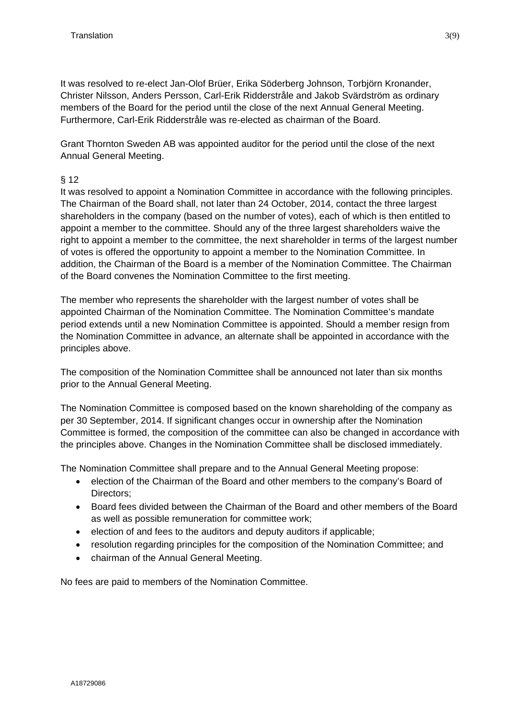It was resolved to re-elect Jan-Olof Brüer, Erika Söderberg Johnson, Torbjörn Kronander, Christer Nilsson, Anders Persson, Carl-Erik Ridderstråle and Jakob Svärdström as ordinary members of the Board for the period until the close of the next Annual General Meeting. Furthermore, Carl-Erik Ridderstråle was re-elected as chairman of the Board.

Grant Thornton Sweden AB was appointed auditor for the period until the close of the next Annual General Meeting.

## § 12

It was resolved to appoint a Nomination Committee in accordance with the following principles. The Chairman of the Board shall, not later than 24 October, 2014, contact the three largest shareholders in the company (based on the number of votes), each of which is then entitled to appoint a member to the committee. Should any of the three largest shareholders waive the right to appoint a member to the committee, the next shareholder in terms of the largest number of votes is offered the opportunity to appoint a member to the Nomination Committee. In addition, the Chairman of the Board is a member of the Nomination Committee. The Chairman of the Board convenes the Nomination Committee to the first meeting.

The member who represents the shareholder with the largest number of votes shall be appointed Chairman of the Nomination Committee. The Nomination Committee's mandate period extends until a new Nomination Committee is appointed. Should a member resign from the Nomination Committee in advance, an alternate shall be appointed in accordance with the principles above.

The composition of the Nomination Committee shall be announced not later than six months prior to the Annual General Meeting.

The Nomination Committee is composed based on the known shareholding of the company as per 30 September, 2014. If significant changes occur in ownership after the Nomination Committee is formed, the composition of the committee can also be changed in accordance with the principles above. Changes in the Nomination Committee shall be disclosed immediately.

The Nomination Committee shall prepare and to the Annual General Meeting propose:

- election of the Chairman of the Board and other members to the company's Board of Directors;
- Board fees divided between the Chairman of the Board and other members of the Board as well as possible remuneration for committee work;
- election of and fees to the auditors and deputy auditors if applicable;
- resolution regarding principles for the composition of the Nomination Committee; and
- chairman of the Annual General Meeting.

No fees are paid to members of the Nomination Committee.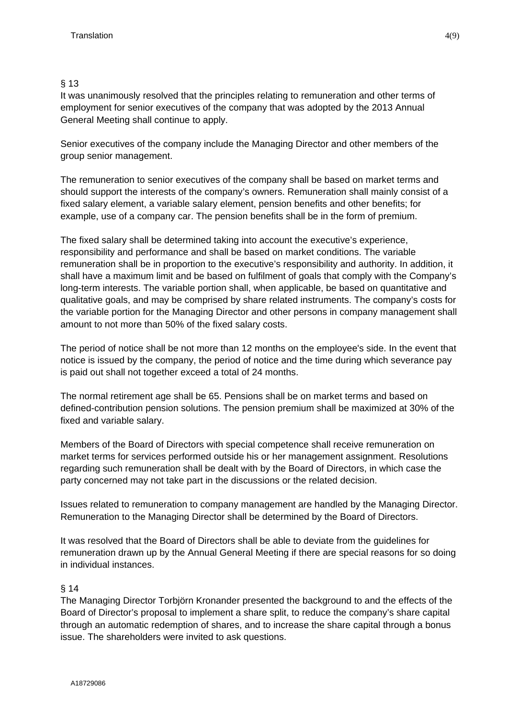## § 13

It was unanimously resolved that the principles relating to remuneration and other terms of employment for senior executives of the company that was adopted by the 2013 Annual General Meeting shall continue to apply.

Senior executives of the company include the Managing Director and other members of the group senior management.

The remuneration to senior executives of the company shall be based on market terms and should support the interests of the company's owners. Remuneration shall mainly consist of a fixed salary element, a variable salary element, pension benefits and other benefits; for example, use of a company car. The pension benefits shall be in the form of premium.

The fixed salary shall be determined taking into account the executive's experience, responsibility and performance and shall be based on market conditions. The variable remuneration shall be in proportion to the executive's responsibility and authority. In addition, it shall have a maximum limit and be based on fulfilment of goals that comply with the Company's long-term interests. The variable portion shall, when applicable, be based on quantitative and qualitative goals, and may be comprised by share related instruments. The company's costs for the variable portion for the Managing Director and other persons in company management shall amount to not more than 50% of the fixed salary costs.

The period of notice shall be not more than 12 months on the employee's side. In the event that notice is issued by the company, the period of notice and the time during which severance pay is paid out shall not together exceed a total of 24 months.

The normal retirement age shall be 65. Pensions shall be on market terms and based on defined-contribution pension solutions. The pension premium shall be maximized at 30% of the fixed and variable salary.

Members of the Board of Directors with special competence shall receive remuneration on market terms for services performed outside his or her management assignment. Resolutions regarding such remuneration shall be dealt with by the Board of Directors, in which case the party concerned may not take part in the discussions or the related decision.

Issues related to remuneration to company management are handled by the Managing Director. Remuneration to the Managing Director shall be determined by the Board of Directors.

It was resolved that the Board of Directors shall be able to deviate from the guidelines for remuneration drawn up by the Annual General Meeting if there are special reasons for so doing in individual instances.

## § 14

The Managing Director Torbjörn Kronander presented the background to and the effects of the Board of Director's proposal to implement a share split, to reduce the company's share capital through an automatic redemption of shares, and to increase the share capital through a bonus issue. The shareholders were invited to ask questions.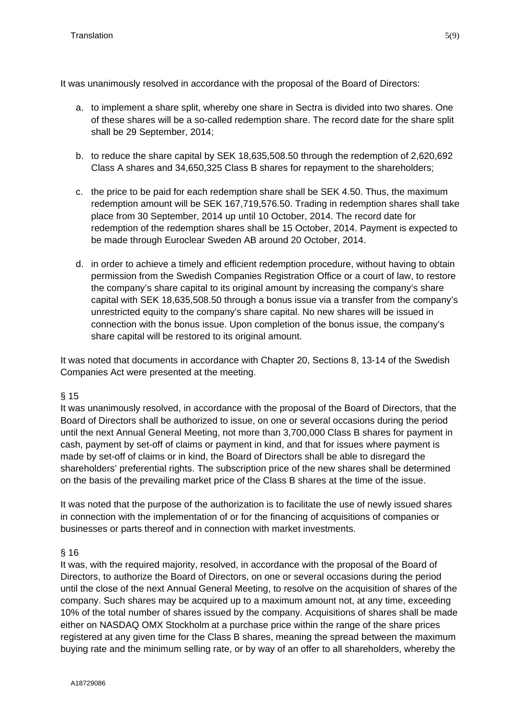It was unanimously resolved in accordance with the proposal of the Board of Directors:

- a. to implement a share split, whereby one share in Sectra is divided into two shares. One of these shares will be a so-called redemption share. The record date for the share split shall be 29 September, 2014;
- b. to reduce the share capital by SEK 18,635,508.50 through the redemption of 2,620,692 Class A shares and 34,650,325 Class B shares for repayment to the shareholders;
- c. the price to be paid for each redemption share shall be SEK 4.50. Thus, the maximum redemption amount will be SEK 167,719,576.50. Trading in redemption shares shall take place from 30 September, 2014 up until 10 October, 2014. The record date for redemption of the redemption shares shall be 15 October, 2014. Payment is expected to be made through Euroclear Sweden AB around 20 October, 2014.
- d. in order to achieve a timely and efficient redemption procedure, without having to obtain permission from the Swedish Companies Registration Office or a court of law, to restore the company's share capital to its original amount by increasing the company's share capital with SEK 18,635,508.50 through a bonus issue via a transfer from the company's unrestricted equity to the company's share capital. No new shares will be issued in connection with the bonus issue. Upon completion of the bonus issue, the company's share capital will be restored to its original amount.

It was noted that documents in accordance with Chapter 20, Sections 8, 13-14 of the Swedish Companies Act were presented at the meeting.

## § 15

It was unanimously resolved, in accordance with the proposal of the Board of Directors, that the Board of Directors shall be authorized to issue, on one or several occasions during the period until the next Annual General Meeting, not more than 3,700,000 Class B shares for payment in cash, payment by set-off of claims or payment in kind, and that for issues where payment is made by set-off of claims or in kind, the Board of Directors shall be able to disregard the shareholders' preferential rights. The subscription price of the new shares shall be determined on the basis of the prevailing market price of the Class B shares at the time of the issue.

It was noted that the purpose of the authorization is to facilitate the use of newly issued shares in connection with the implementation of or for the financing of acquisitions of companies or businesses or parts thereof and in connection with market investments.

## § 16

It was, with the required majority, resolved, in accordance with the proposal of the Board of Directors, to authorize the Board of Directors, on one or several occasions during the period until the close of the next Annual General Meeting, to resolve on the acquisition of shares of the company. Such shares may be acquired up to a maximum amount not, at any time, exceeding 10% of the total number of shares issued by the company. Acquisitions of shares shall be made either on NASDAQ OMX Stockholm at a purchase price within the range of the share prices registered at any given time for the Class B shares, meaning the spread between the maximum buying rate and the minimum selling rate, or by way of an offer to all shareholders, whereby the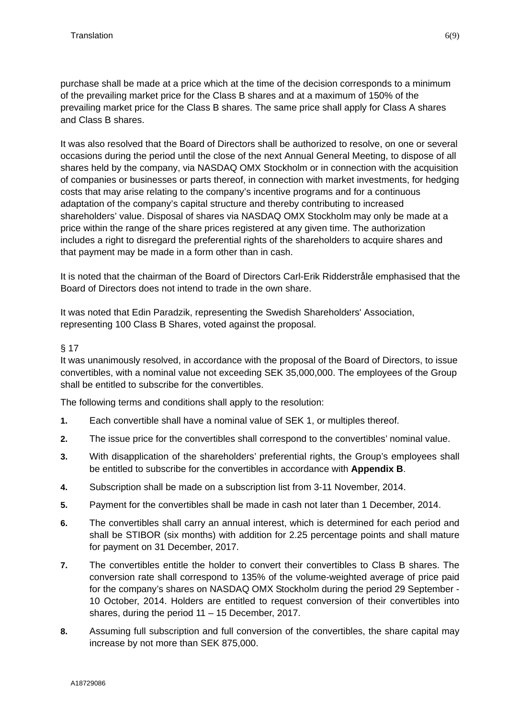purchase shall be made at a price which at the time of the decision corresponds to a minimum of the prevailing market price for the Class B shares and at a maximum of 150% of the prevailing market price for the Class B shares. The same price shall apply for Class A shares and Class B shares.

It was also resolved that the Board of Directors shall be authorized to resolve, on one or several occasions during the period until the close of the next Annual General Meeting, to dispose of all shares held by the company, via NASDAQ OMX Stockholm or in connection with the acquisition of companies or businesses or parts thereof, in connection with market investments, for hedging costs that may arise relating to the company's incentive programs and for a continuous adaptation of the company's capital structure and thereby contributing to increased shareholders' value. Disposal of shares via NASDAQ OMX Stockholm may only be made at a price within the range of the share prices registered at any given time. The authorization includes a right to disregard the preferential rights of the shareholders to acquire shares and that payment may be made in a form other than in cash.

It is noted that the chairman of the Board of Directors Carl-Erik Ridderstråle emphasised that the Board of Directors does not intend to trade in the own share.

It was noted that Edin Paradzik, representing the Swedish Shareholders' Association, representing 100 Class B Shares, voted against the proposal.

## § 17

It was unanimously resolved, in accordance with the proposal of the Board of Directors, to issue convertibles, with a nominal value not exceeding SEK 35,000,000. The employees of the Group shall be entitled to subscribe for the convertibles.

The following terms and conditions shall apply to the resolution:

- **1.** Each convertible shall have a nominal value of SEK 1, or multiples thereof.
- **2.** The issue price for the convertibles shall correspond to the convertibles' nominal value.
- **3.** With disapplication of the shareholders' preferential rights, the Group's employees shall be entitled to subscribe for the convertibles in accordance with **Appendix B**.
- **4.** Subscription shall be made on a subscription list from 3-11 November, 2014.
- **5.** Payment for the convertibles shall be made in cash not later than 1 December, 2014.
- **6.** The convertibles shall carry an annual interest, which is determined for each period and shall be STIBOR (six months) with addition for 2.25 percentage points and shall mature for payment on 31 December, 2017.
- **7.** The convertibles entitle the holder to convert their convertibles to Class B shares. The conversion rate shall correspond to 135% of the volume-weighted average of price paid for the company's shares on NASDAQ OMX Stockholm during the period 29 September - 10 October, 2014. Holders are entitled to request conversion of their convertibles into shares, during the period 11 – 15 December, 2017.
- **8.** Assuming full subscription and full conversion of the convertibles, the share capital may increase by not more than SEK 875,000.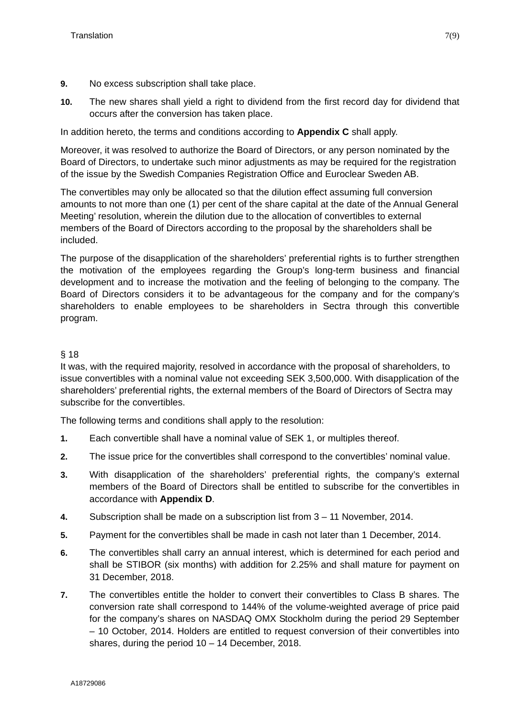- **9.** No excess subscription shall take place.
- **10.** The new shares shall yield a right to dividend from the first record day for dividend that occurs after the conversion has taken place.

In addition hereto, the terms and conditions according to **Appendix C** shall apply.

Moreover, it was resolved to authorize the Board of Directors, or any person nominated by the Board of Directors, to undertake such minor adjustments as may be required for the registration of the issue by the Swedish Companies Registration Office and Euroclear Sweden AB.

The convertibles may only be allocated so that the dilution effect assuming full conversion amounts to not more than one (1) per cent of the share capital at the date of the Annual General Meeting' resolution, wherein the dilution due to the allocation of convertibles to external members of the Board of Directors according to the proposal by the shareholders shall be included.

The purpose of the disapplication of the shareholders' preferential rights is to further strengthen the motivation of the employees regarding the Group's long-term business and financial development and to increase the motivation and the feeling of belonging to the company. The Board of Directors considers it to be advantageous for the company and for the company's shareholders to enable employees to be shareholders in Sectra through this convertible program.

## § 18

It was, with the required majority, resolved in accordance with the proposal of shareholders, to issue convertibles with a nominal value not exceeding SEK 3,500,000. With disapplication of the shareholders' preferential rights, the external members of the Board of Directors of Sectra may subscribe for the convertibles.

The following terms and conditions shall apply to the resolution:

- **1.** Each convertible shall have a nominal value of SEK 1, or multiples thereof.
- **2.** The issue price for the convertibles shall correspond to the convertibles' nominal value.
- **3.** With disapplication of the shareholders' preferential rights, the company's external members of the Board of Directors shall be entitled to subscribe for the convertibles in accordance with **Appendix D**.
- **4.** Subscription shall be made on a subscription list from 3 11 November, 2014.
- **5.** Payment for the convertibles shall be made in cash not later than 1 December, 2014.
- **6.** The convertibles shall carry an annual interest, which is determined for each period and shall be STIBOR (six months) with addition for 2.25% and shall mature for payment on 31 December, 2018.
- **7.** The convertibles entitle the holder to convert their convertibles to Class B shares. The conversion rate shall correspond to 144% of the volume-weighted average of price paid for the company's shares on NASDAQ OMX Stockholm during the period 29 September – 10 October, 2014. Holders are entitled to request conversion of their convertibles into shares, during the period 10 – 14 December, 2018.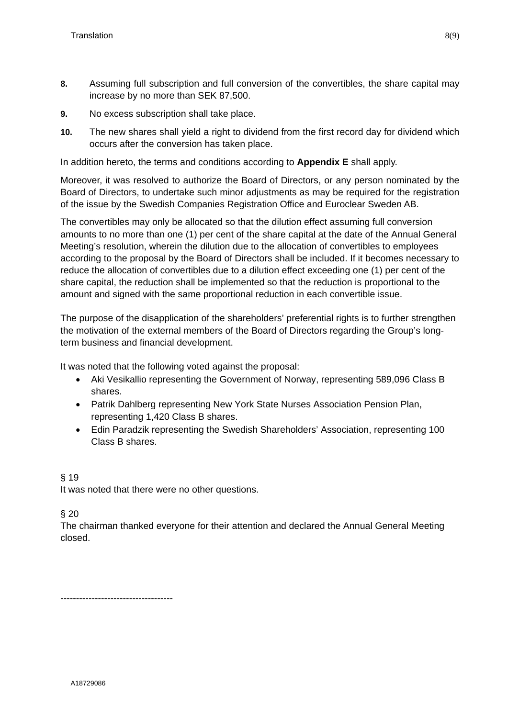- **8.** Assuming full subscription and full conversion of the convertibles, the share capital may increase by no more than SEK 87,500.
- **9.** No excess subscription shall take place.
- **10.** The new shares shall yield a right to dividend from the first record day for dividend which occurs after the conversion has taken place.

In addition hereto, the terms and conditions according to **Appendix E** shall apply.

Moreover, it was resolved to authorize the Board of Directors, or any person nominated by the Board of Directors, to undertake such minor adjustments as may be required for the registration of the issue by the Swedish Companies Registration Office and Euroclear Sweden AB.

The convertibles may only be allocated so that the dilution effect assuming full conversion amounts to no more than one (1) per cent of the share capital at the date of the Annual General Meeting's resolution, wherein the dilution due to the allocation of convertibles to employees according to the proposal by the Board of Directors shall be included. If it becomes necessary to reduce the allocation of convertibles due to a dilution effect exceeding one (1) per cent of the share capital, the reduction shall be implemented so that the reduction is proportional to the amount and signed with the same proportional reduction in each convertible issue.

The purpose of the disapplication of the shareholders' preferential rights is to further strengthen the motivation of the external members of the Board of Directors regarding the Group's longterm business and financial development.

It was noted that the following voted against the proposal:

- Aki Vesikallio representing the Government of Norway, representing 589,096 Class B shares.
- Patrik Dahlberg representing New York State Nurses Association Pension Plan, representing 1,420 Class B shares.
- Edin Paradzik representing the Swedish Shareholders' Association, representing 100 Class B shares.

## § 19

It was noted that there were no other questions.

§ 20

The chairman thanked everyone for their attention and declared the Annual General Meeting closed.

------------------------------------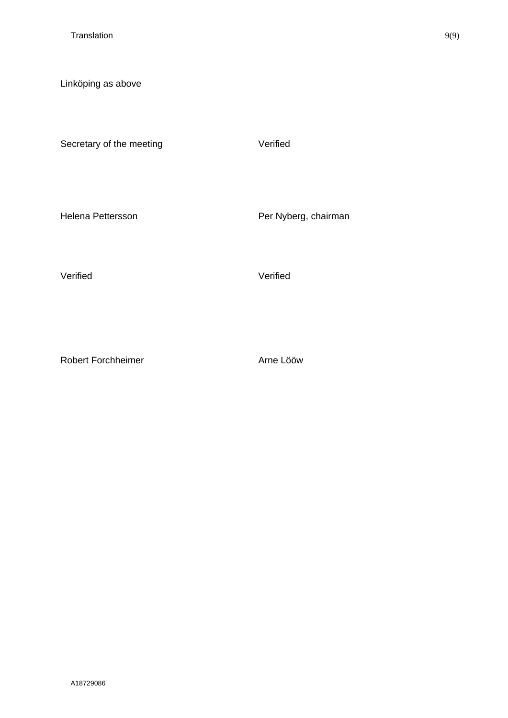Linköping as above

Secretary of the meeting verified

Helena Pettersson **Per Nyberg**, chairman

Verified Verified

Robert Forchheimer **Arne Lööw**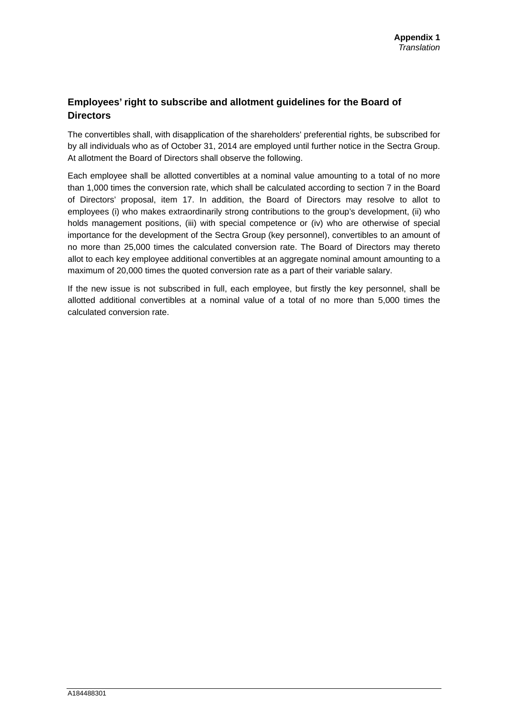## **Employees' right to subscribe and allotment guidelines for the Board of Directors**

The convertibles shall, with disapplication of the shareholders' preferential rights, be subscribed for by all individuals who as of October 31, 2014 are employed until further notice in the Sectra Group. At allotment the Board of Directors shall observe the following.

Each employee shall be allotted convertibles at a nominal value amounting to a total of no more than 1,000 times the conversion rate, which shall be calculated according to section 7 in the Board of Directors' proposal, item 17. In addition, the Board of Directors may resolve to allot to employees (i) who makes extraordinarily strong contributions to the group's development, (ii) who holds management positions, (iii) with special competence or (iv) who are otherwise of special importance for the development of the Sectra Group (key personnel), convertibles to an amount of no more than 25,000 times the calculated conversion rate. The Board of Directors may thereto allot to each key employee additional convertibles at an aggregate nominal amount amounting to a maximum of 20,000 times the quoted conversion rate as a part of their variable salary.

If the new issue is not subscribed in full, each employee, but firstly the key personnel, shall be allotted additional convertibles at a nominal value of a total of no more than 5,000 times the calculated conversion rate.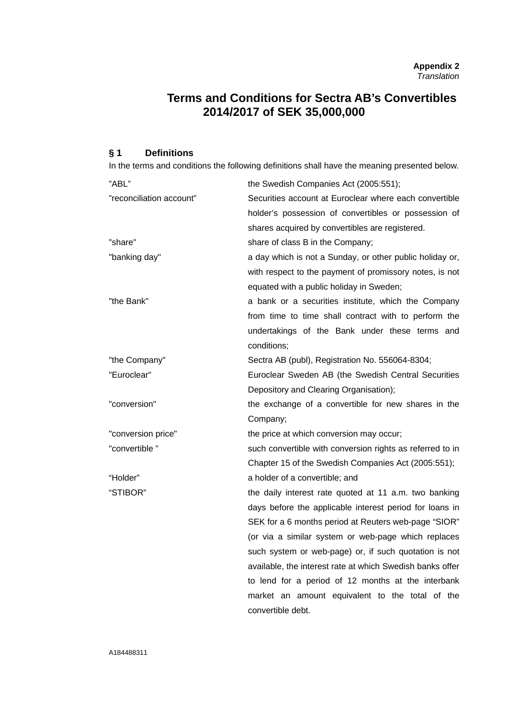# **Terms and Conditions for Sectra AB's Convertibles 2014/2017 of SEK 35,000,000**

#### **§ 1 Definitions**

In the terms and conditions the following definitions shall have the meaning presented below.

| "ABL"                    | the Swedish Companies Act (2005:551);                     |
|--------------------------|-----------------------------------------------------------|
| "reconciliation account" | Securities account at Euroclear where each convertible    |
|                          | holder's possession of convertibles or possession of      |
|                          | shares acquired by convertibles are registered.           |
| "share"                  | share of class B in the Company;                          |
| "banking day"            | a day which is not a Sunday, or other public holiday or,  |
|                          | with respect to the payment of promissory notes, is not   |
|                          | equated with a public holiday in Sweden;                  |
| "the Bank"               | a bank or a securities institute, which the Company       |
|                          | from time to time shall contract with to perform the      |
|                          | undertakings of the Bank under these terms and            |
|                          | conditions;                                               |
| "the Company"            | Sectra AB (publ), Registration No. 556064-8304;           |
| "Euroclear"              | Euroclear Sweden AB (the Swedish Central Securities       |
|                          | Depository and Clearing Organisation);                    |
| "conversion"             | the exchange of a convertible for new shares in the       |
|                          | Company;                                                  |
| "conversion price"       | the price at which conversion may occur;                  |
| "convertible"            | such convertible with conversion rights as referred to in |
|                          | Chapter 15 of the Swedish Companies Act (2005:551);       |
| "Holder"                 | a holder of a convertible; and                            |
| "STIBOR"                 | the daily interest rate quoted at 11 a.m. two banking     |
|                          | days before the applicable interest period for loans in   |
|                          | SEK for a 6 months period at Reuters web-page "SIOR"      |
|                          | (or via a similar system or web-page which replaces       |
|                          | such system or web-page) or, if such quotation is not     |
|                          | available, the interest rate at which Swedish banks offer |
|                          | to lend for a period of 12 months at the interbank        |
|                          | market an amount equivalent to the total of the           |
|                          | convertible debt.                                         |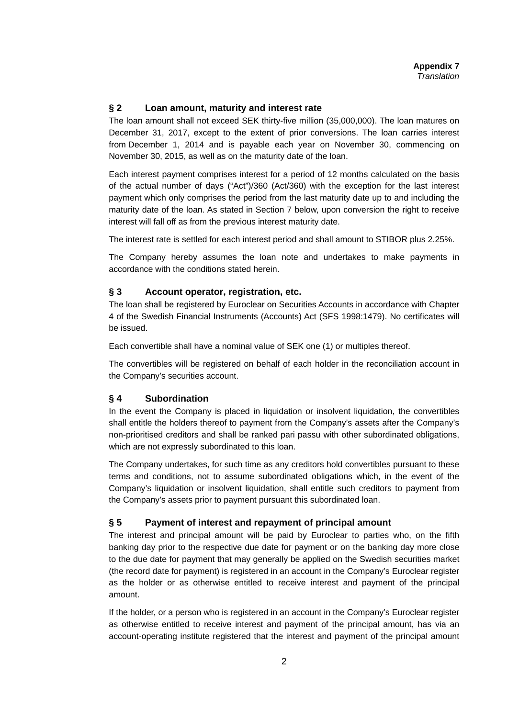#### **§ 2 Loan amount, maturity and interest rate**

The loan amount shall not exceed SEK thirty-five million (35,000,000). The loan matures on December 31, 2017, except to the extent of prior conversions. The loan carries interest from December 1, 2014 and is payable each year on November 30, commencing on November 30, 2015, as well as on the maturity date of the loan.

Each interest payment comprises interest for a period of 12 months calculated on the basis of the actual number of days ("Act")/360 (Act/360) with the exception for the last interest payment which only comprises the period from the last maturity date up to and including the maturity date of the loan. As stated in Section 7 below, upon conversion the right to receive interest will fall off as from the previous interest maturity date.

The interest rate is settled for each interest period and shall amount to STIBOR plus 2.25%.

The Company hereby assumes the loan note and undertakes to make payments in accordance with the conditions stated herein.

#### **§ 3 Account operator, registration, etc.**

The loan shall be registered by Euroclear on Securities Accounts in accordance with Chapter 4 of the Swedish Financial Instruments (Accounts) Act (SFS 1998:1479). No certificates will be issued.

Each convertible shall have a nominal value of SEK one (1) or multiples thereof.

The convertibles will be registered on behalf of each holder in the reconciliation account in the Company's securities account.

#### **§ 4 Subordination**

In the event the Company is placed in liquidation or insolvent liquidation, the convertibles shall entitle the holders thereof to payment from the Company's assets after the Company's non-prioritised creditors and shall be ranked pari passu with other subordinated obligations, which are not expressly subordinated to this loan.

The Company undertakes, for such time as any creditors hold convertibles pursuant to these terms and conditions, not to assume subordinated obligations which, in the event of the Company's liquidation or insolvent liquidation, shall entitle such creditors to payment from the Company's assets prior to payment pursuant this subordinated loan.

#### **§ 5 Payment of interest and repayment of principal amount**

The interest and principal amount will be paid by Euroclear to parties who, on the fifth banking day prior to the respective due date for payment or on the banking day more close to the due date for payment that may generally be applied on the Swedish securities market (the record date for payment) is registered in an account in the Company's Euroclear register as the holder or as otherwise entitled to receive interest and payment of the principal amount.

If the holder, or a person who is registered in an account in the Company's Euroclear register as otherwise entitled to receive interest and payment of the principal amount, has via an account-operating institute registered that the interest and payment of the principal amount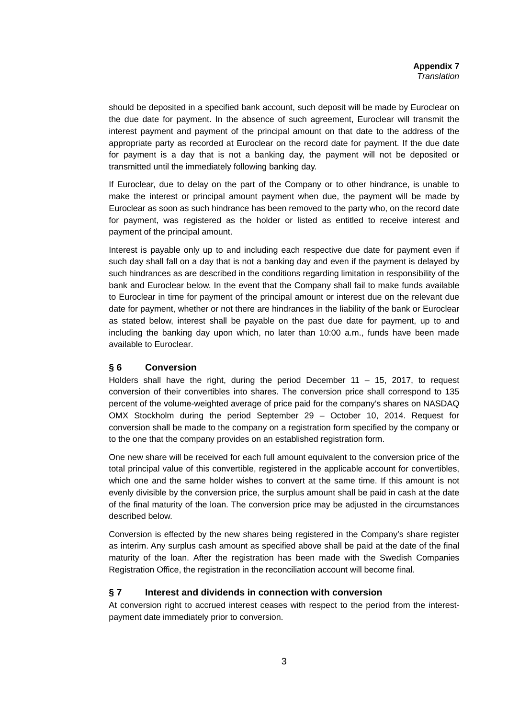should be deposited in a specified bank account, such deposit will be made by Euroclear on the due date for payment. In the absence of such agreement, Euroclear will transmit the interest payment and payment of the principal amount on that date to the address of the appropriate party as recorded at Euroclear on the record date for payment. If the due date for payment is a day that is not a banking day, the payment will not be deposited or transmitted until the immediately following banking day.

If Euroclear, due to delay on the part of the Company or to other hindrance, is unable to make the interest or principal amount payment when due, the payment will be made by Euroclear as soon as such hindrance has been removed to the party who, on the record date for payment, was registered as the holder or listed as entitled to receive interest and payment of the principal amount.

Interest is payable only up to and including each respective due date for payment even if such day shall fall on a day that is not a banking day and even if the payment is delayed by such hindrances as are described in the conditions regarding limitation in responsibility of the bank and Euroclear below. In the event that the Company shall fail to make funds available to Euroclear in time for payment of the principal amount or interest due on the relevant due date for payment, whether or not there are hindrances in the liability of the bank or Euroclear as stated below, interest shall be payable on the past due date for payment, up to and including the banking day upon which, no later than 10:00 a.m., funds have been made available to Euroclear.

## **§ 6 Conversion**

Holders shall have the right, during the period December  $11 - 15$ , 2017, to request conversion of their convertibles into shares. The conversion price shall correspond to 135 percent of the volume-weighted average of price paid for the company's shares on NASDAQ OMX Stockholm during the period September 29 – October 10, 2014. Request for conversion shall be made to the company on a registration form specified by the company or to the one that the company provides on an established registration form.

One new share will be received for each full amount equivalent to the conversion price of the total principal value of this convertible, registered in the applicable account for convertibles, which one and the same holder wishes to convert at the same time. If this amount is not evenly divisible by the conversion price, the surplus amount shall be paid in cash at the date of the final maturity of the loan. The conversion price may be adjusted in the circumstances described below.

Conversion is effected by the new shares being registered in the Company's share register as interim. Any surplus cash amount as specified above shall be paid at the date of the final maturity of the loan. After the registration has been made with the Swedish Companies Registration Office, the registration in the reconciliation account will become final.

#### **§ 7 Interest and dividends in connection with conversion**

At conversion right to accrued interest ceases with respect to the period from the interestpayment date immediately prior to conversion.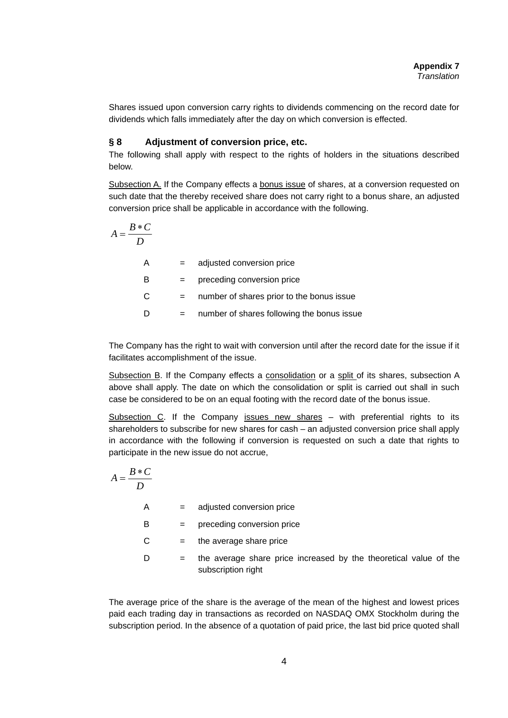Shares issued upon conversion carry rights to dividends commencing on the record date for dividends which falls immediately after the day on which conversion is effected.

#### **§ 8 Adjustment of conversion price, etc.**

The following shall apply with respect to the rights of holders in the situations described below.

Subsection A. If the Company effects a bonus issue of shares, at a conversion requested on such date that the thereby received share does not carry right to a bonus share, an adjusted conversion price shall be applicable in accordance with the following.

$$
A = \frac{B*C}{D}
$$
  
\nA = adjusted conversion price  
\nB = preceding conversion price  
\nC = number of shares prior to the bonus issue  
\nD = number of shares following the bonus issue

The Company has the right to wait with conversion until after the record date for the issue if it facilitates accomplishment of the issue.

Subsection B. If the Company effects a consolidation or a split of its shares, subsection A above shall apply. The date on which the consolidation or split is carried out shall in such case be considered to be on an equal footing with the record date of the bonus issue.

Subsection C. If the Company issues new shares – with preferential rights to its shareholders to subscribe for new shares for cash – an adjusted conversion price shall apply in accordance with the following if conversion is requested on such a date that rights to participate in the new issue do not accrue,

$$
A = \frac{B*C}{D}
$$
  
\nA = adjusted conversion price  
\nB = preceding conversion price  
\nC = the average share price  
\nD = the average share price increased by the theoretical value of the  
\nsubscripting

The average price of the share is the average of the mean of the highest and lowest prices paid each trading day in transactions as recorded on NASDAQ OMX Stockholm during the subscription period. In the absence of a quotation of paid price, the last bid price quoted shall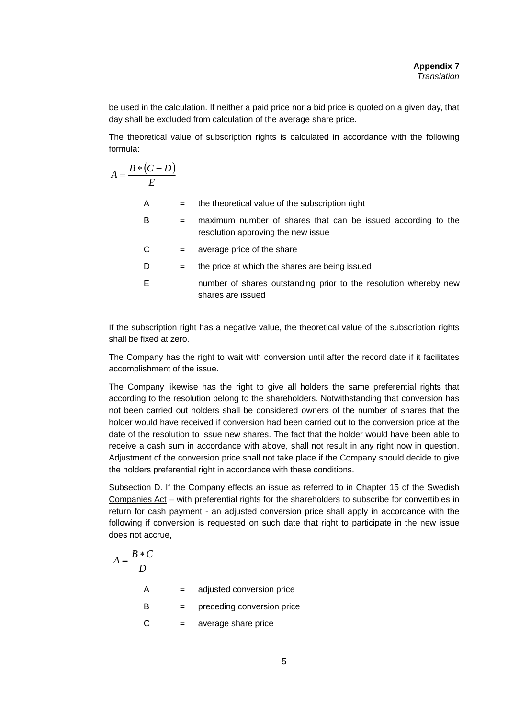be used in the calculation. If neither a paid price nor a bid price is quoted on a given day, that day shall be excluded from calculation of the average share price.

The theoretical value of subscription rights is calculated in accordance with the following formula:

$$
A = \frac{B * (C - D)}{E}
$$

| A | $=$ | the theoretical value of the subscription right                                                    |
|---|-----|----------------------------------------------------------------------------------------------------|
| В | $=$ | maximum number of shares that can be issued according to the<br>resolution approving the new issue |
| С | $=$ | average price of the share                                                                         |
| D | $=$ | the price at which the shares are being issued                                                     |
| Е |     | number of shares outstanding prior to the resolution whereby new                                   |

shares are issued

If the subscription right has a negative value, the theoretical value of the subscription rights shall be fixed at zero.

The Company has the right to wait with conversion until after the record date if it facilitates accomplishment of the issue.

The Company likewise has the right to give all holders the same preferential rights that according to the resolution belong to the shareholders*.* Notwithstanding that conversion has not been carried out holders shall be considered owners of the number of shares that the holder would have received if conversion had been carried out to the conversion price at the date of the resolution to issue new shares. The fact that the holder would have been able to receive a cash sum in accordance with above, shall not result in any right now in question. Adjustment of the conversion price shall not take place if the Company should decide to give the holders preferential right in accordance with these conditions.

Subsection D. If the Company effects an issue as referred to in Chapter 15 of the Swedish Companies Act – with preferential rights for the shareholders to subscribe for convertibles in return for cash payment - an adjusted conversion price shall apply in accordance with the following if conversion is requested on such date that right to participate in the new issue does not accrue,

$$
A = \frac{B*C}{D}
$$
  
A = adjusted conversion price  
B = preceding conversion price  
C = average share price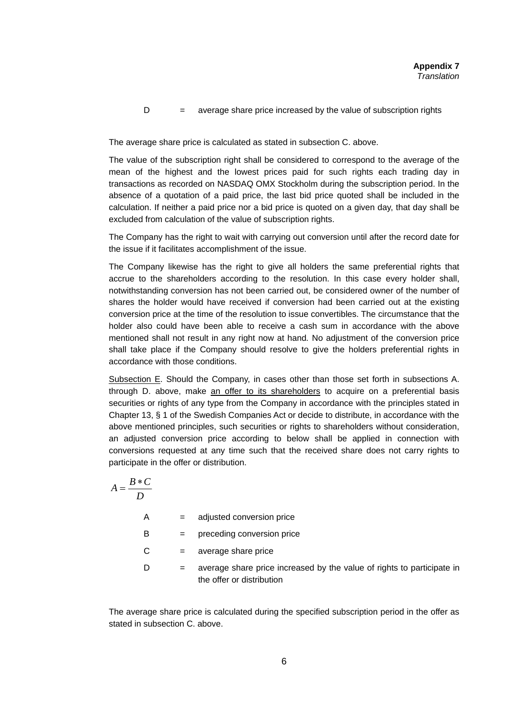$D =$  average share price increased by the value of subscription rights

The average share price is calculated as stated in subsection C. above.

The value of the subscription right shall be considered to correspond to the average of the mean of the highest and the lowest prices paid for such rights each trading day in transactions as recorded on NASDAQ OMX Stockholm during the subscription period. In the absence of a quotation of a paid price, the last bid price quoted shall be included in the calculation. If neither a paid price nor a bid price is quoted on a given day, that day shall be excluded from calculation of the value of subscription rights.

The Company has the right to wait with carrying out conversion until after the record date for the issue if it facilitates accomplishment of the issue.

The Company likewise has the right to give all holders the same preferential rights that accrue to the shareholders according to the resolution. In this case every holder shall, notwithstanding conversion has not been carried out, be considered owner of the number of shares the holder would have received if conversion had been carried out at the existing conversion price at the time of the resolution to issue convertibles. The circumstance that the holder also could have been able to receive a cash sum in accordance with the above mentioned shall not result in any right now at hand*.* No adjustment of the conversion price shall take place if the Company should resolve to give the holders preferential rights in accordance with those conditions.

Subsection E. Should the Company, in cases other than those set forth in subsections A. through D. above, make an offer to its shareholders to acquire on a preferential basis securities or rights of any type from the Company in accordance with the principles stated in Chapter 13, § 1 of the Swedish Companies Act or decide to distribute, in accordance with the above mentioned principles, such securities or rights to shareholders without consideration, an adjusted conversion price according to below shall be applied in connection with conversions requested at any time such that the received share does not carry rights to participate in the offer or distribution.

$$
A = \frac{B*C}{D}
$$

| A | $=$                       | adjusted conversion price                                                                           |
|---|---------------------------|-----------------------------------------------------------------------------------------------------|
| в | $\mathbf{r} = \mathbf{r}$ | preceding conversion price                                                                          |
| C | $\alpha = 1$              | average share price                                                                                 |
|   | $=$                       | average share price increased by the value of rights to participate in<br>the offer or distribution |

The average share price is calculated during the specified subscription period in the offer as stated in subsection C. above.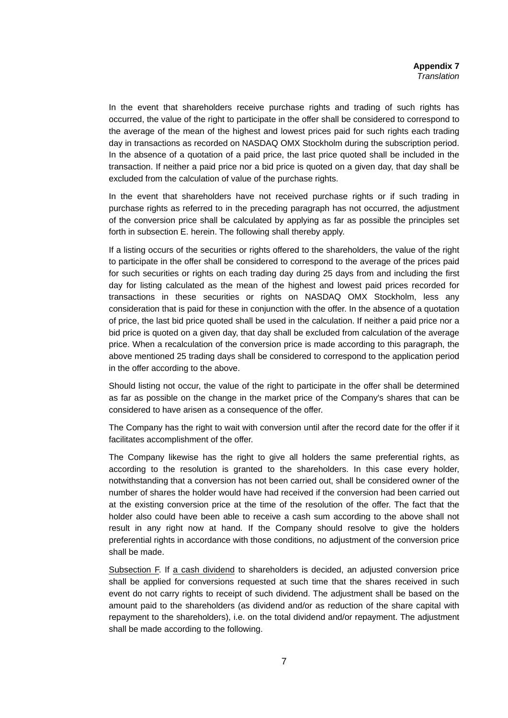In the event that shareholders receive purchase rights and trading of such rights has occurred, the value of the right to participate in the offer shall be considered to correspond to the average of the mean of the highest and lowest prices paid for such rights each trading day in transactions as recorded on NASDAQ OMX Stockholm during the subscription period. In the absence of a quotation of a paid price, the last price quoted shall be included in the transaction. If neither a paid price nor a bid price is quoted on a given day, that day shall be excluded from the calculation of value of the purchase rights.

In the event that shareholders have not received purchase rights or if such trading in purchase rights as referred to in the preceding paragraph has not occurred, the adjustment of the conversion price shall be calculated by applying as far as possible the principles set forth in subsection E. herein. The following shall thereby apply.

If a listing occurs of the securities or rights offered to the shareholders, the value of the right to participate in the offer shall be considered to correspond to the average of the prices paid for such securities or rights on each trading day during 25 days from and including the first day for listing calculated as the mean of the highest and lowest paid prices recorded for transactions in these securities or rights on NASDAQ OMX Stockholm, less any consideration that is paid for these in conjunction with the offer. In the absence of a quotation of price, the last bid price quoted shall be used in the calculation. If neither a paid price nor a bid price is quoted on a given day, that day shall be excluded from calculation of the average price. When a recalculation of the conversion price is made according to this paragraph, the above mentioned 25 trading days shall be considered to correspond to the application period in the offer according to the above.

Should listing not occur, the value of the right to participate in the offer shall be determined as far as possible on the change in the market price of the Company's shares that can be considered to have arisen as a consequence of the offer.

The Company has the right to wait with conversion until after the record date for the offer if it facilitates accomplishment of the offer.

The Company likewise has the right to give all holders the same preferential rights, as according to the resolution is granted to the shareholders. In this case every holder, notwithstanding that a conversion has not been carried out, shall be considered owner of the number of shares the holder would have had received if the conversion had been carried out at the existing conversion price at the time of the resolution of the offer. The fact that the holder also could have been able to receive a cash sum according to the above shall not result in any right now at hand*.* If the Company should resolve to give the holders preferential rights in accordance with those conditions, no adjustment of the conversion price shall be made.

Subsection F. If a cash dividend to shareholders is decided, an adjusted conversion price shall be applied for conversions requested at such time that the shares received in such event do not carry rights to receipt of such dividend. The adjustment shall be based on the amount paid to the shareholders (as dividend and/or as reduction of the share capital with repayment to the shareholders), i.e. on the total dividend and/or repayment. The adjustment shall be made according to the following.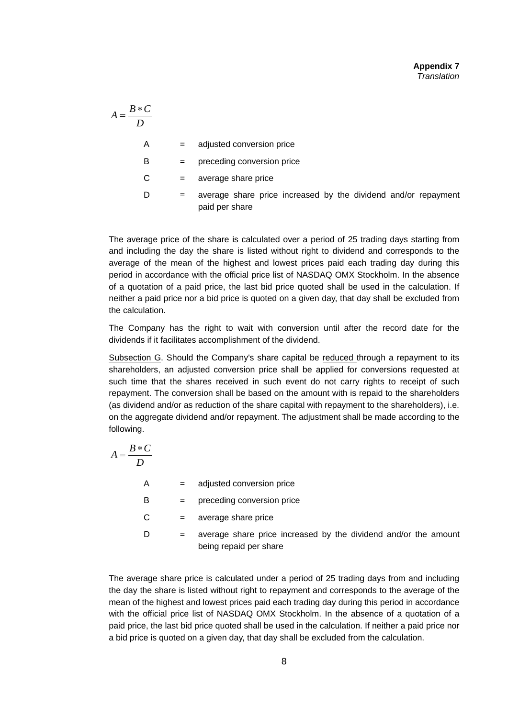| $B*C$<br>$A=\frac{B*C}{A}$<br>D |     |                                                                                  |
|---------------------------------|-----|----------------------------------------------------------------------------------|
| A                               | $=$ | adjusted conversion price                                                        |
| В                               | $=$ | preceding conversion price                                                       |
| C                               | $=$ | average share price                                                              |
| D                               | $=$ | average share price increased by the dividend and/or repayment<br>paid per share |

The average price of the share is calculated over a period of 25 trading days starting from and including the day the share is listed without right to dividend and corresponds to the average of the mean of the highest and lowest prices paid each trading day during this period in accordance with the official price list of NASDAQ OMX Stockholm. In the absence of a quotation of a paid price, the last bid price quoted shall be used in the calculation. If neither a paid price nor a bid price is quoted on a given day, that day shall be excluded from the calculation.

The Company has the right to wait with conversion until after the record date for the dividends if it facilitates accomplishment of the dividend.

Subsection G. Should the Company's share capital be reduced through a repayment to its shareholders, an adjusted conversion price shall be applied for conversions requested at such time that the shares received in such event do not carry rights to receipt of such repayment. The conversion shall be based on the amount with is repaid to the shareholders (as dividend and/or as reduction of the share capital with repayment to the shareholders), i.e. on the aggregate dividend and/or repayment. The adjustment shall be made according to the following.

$$
A = \frac{B*C}{D}
$$
  
\nA = adjusted conversion price  
\nB = preceding conversion price  
\nC = average share price  
\nD = average share price increased by the dividend and/or the amount  
\nbeing repaid per share

The average share price is calculated under a period of 25 trading days from and including the day the share is listed without right to repayment and corresponds to the average of the mean of the highest and lowest prices paid each trading day during this period in accordance with the official price list of NASDAQ OMX Stockholm. In the absence of a quotation of a paid price, the last bid price quoted shall be used in the calculation. If neither a paid price nor a bid price is quoted on a given day, that day shall be excluded from the calculation.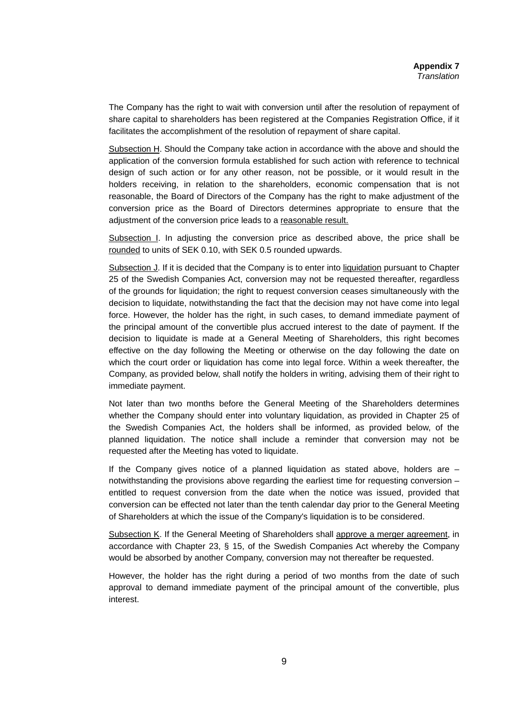The Company has the right to wait with conversion until after the resolution of repayment of share capital to shareholders has been registered at the Companies Registration Office, if it facilitates the accomplishment of the resolution of repayment of share capital.

Subsection H. Should the Company take action in accordance with the above and should the application of the conversion formula established for such action with reference to technical design of such action or for any other reason, not be possible, or it would result in the holders receiving, in relation to the shareholders, economic compensation that is not reasonable, the Board of Directors of the Company has the right to make adjustment of the conversion price as the Board of Directors determines appropriate to ensure that the adjustment of the conversion price leads to a reasonable result.

Subsection I. In adjusting the conversion price as described above, the price shall be rounded to units of SEK 0.10, with SEK 0.5 rounded upwards.

Subsection J. If it is decided that the Company is to enter into liquidation pursuant to Chapter 25 of the Swedish Companies Act, conversion may not be requested thereafter, regardless of the grounds for liquidation; the right to request conversion ceases simultaneously with the decision to liquidate, notwithstanding the fact that the decision may not have come into legal force. However, the holder has the right, in such cases, to demand immediate payment of the principal amount of the convertible plus accrued interest to the date of payment. If the decision to liquidate is made at a General Meeting of Shareholders, this right becomes effective on the day following the Meeting or otherwise on the day following the date on which the court order or liquidation has come into legal force. Within a week thereafter, the Company, as provided below, shall notify the holders in writing, advising them of their right to immediate payment.

Not later than two months before the General Meeting of the Shareholders determines whether the Company should enter into voluntary liquidation, as provided in Chapter 25 of the Swedish Companies Act, the holders shall be informed, as provided below, of the planned liquidation. The notice shall include a reminder that conversion may not be requested after the Meeting has voted to liquidate.

If the Company gives notice of a planned liquidation as stated above, holders are – notwithstanding the provisions above regarding the earliest time for requesting conversion – entitled to request conversion from the date when the notice was issued, provided that conversion can be effected not later than the tenth calendar day prior to the General Meeting of Shareholders at which the issue of the Company's liquidation is to be considered.

Subsection K. If the General Meeting of Shareholders shall approve a merger agreement, in accordance with Chapter 23, § 15, of the Swedish Companies Act whereby the Company would be absorbed by another Company, conversion may not thereafter be requested.

However, the holder has the right during a period of two months from the date of such approval to demand immediate payment of the principal amount of the convertible, plus interest.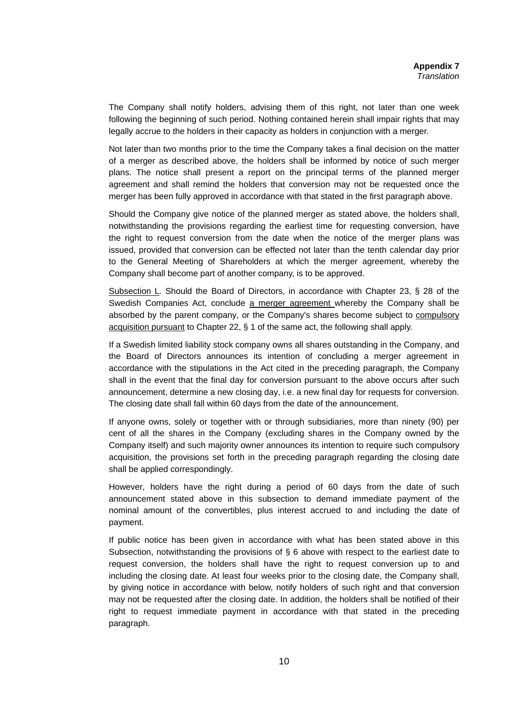The Company shall notify holders, advising them of this right, not later than one week following the beginning of such period. Nothing contained herein shall impair rights that may legally accrue to the holders in their capacity as holders in conjunction with a merger.

Not later than two months prior to the time the Company takes a final decision on the matter of a merger as described above, the holders shall be informed by notice of such merger plans. The notice shall present a report on the principal terms of the planned merger agreement and shall remind the holders that conversion may not be requested once the merger has been fully approved in accordance with that stated in the first paragraph above.

Should the Company give notice of the planned merger as stated above, the holders shall, notwithstanding the provisions regarding the earliest time for requesting conversion, have the right to request conversion from the date when the notice of the merger plans was issued, provided that conversion can be effected not later than the tenth calendar day prior to the General Meeting of Shareholders at which the merger agreement, whereby the Company shall become part of another company, is to be approved.

Subsection L. Should the Board of Directors, in accordance with Chapter 23, § 28 of the Swedish Companies Act, conclude a merger agreement whereby the Company shall be absorbed by the parent company, or the Company's shares become subject to compulsory acquisition pursuant to Chapter 22, § 1 of the same act, the following shall apply.

If a Swedish limited liability stock company owns all shares outstanding in the Company, and the Board of Directors announces its intention of concluding a merger agreement in accordance with the stipulations in the Act cited in the preceding paragraph, the Company shall in the event that the final day for conversion pursuant to the above occurs after such announcement, determine a new closing day, i.e. a new final day for requests for conversion. The closing date shall fall within 60 days from the date of the announcement.

If anyone owns, solely or together with or through subsidiaries, more than ninety (90) per cent of all the shares in the Company (excluding shares in the Company owned by the Company itself) and such majority owner announces its intention to require such compulsory acquisition, the provisions set forth in the preceding paragraph regarding the closing date shall be applied correspondingly.

However, holders have the right during a period of 60 days from the date of such announcement stated above in this subsection to demand immediate payment of the nominal amount of the convertibles, plus interest accrued to and including the date of payment.

If public notice has been given in accordance with what has been stated above in this Subsection, notwithstanding the provisions of § 6 above with respect to the earliest date to request conversion, the holders shall have the right to request conversion up to and including the closing date. At least four weeks prior to the closing date, the Company shall, by giving notice in accordance with below, notify holders of such right and that conversion may not be requested after the closing date. In addition, the holders shall be notified of their right to request immediate payment in accordance with that stated in the preceding paragraph.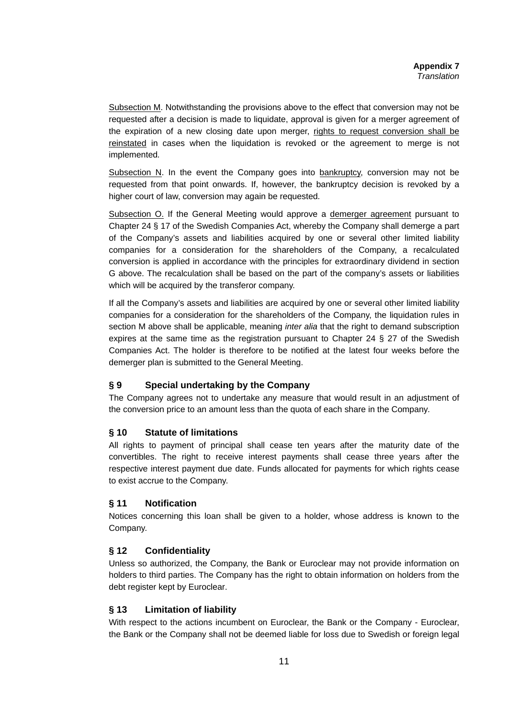Subsection M. Notwithstanding the provisions above to the effect that conversion may not be requested after a decision is made to liquidate, approval is given for a merger agreement of the expiration of a new closing date upon merger, rights to request conversion shall be reinstated in cases when the liquidation is revoked or the agreement to merge is not implemented*.*

Subsection N. In the event the Company goes into  $b$ ankruptcy, conversion may not be requested from that point onwards. If, however, the bankruptcy decision is revoked by a higher court of law, conversion may again be requested*.* 

Subsection O. If the General Meeting would approve a demerger agreement pursuant to Chapter 24 § 17 of the Swedish Companies Act, whereby the Company shall demerge a part of the Company's assets and liabilities acquired by one or several other limited liability companies for a consideration for the shareholders of the Company, a recalculated conversion is applied in accordance with the principles for extraordinary dividend in section G above. The recalculation shall be based on the part of the company's assets or liabilities which will be acquired by the transferor company.

If all the Company's assets and liabilities are acquired by one or several other limited liability companies for a consideration for the shareholders of the Company, the liquidation rules in section M above shall be applicable, meaning *inter alia* that the right to demand subscription expires at the same time as the registration pursuant to Chapter 24 § 27 of the Swedish Companies Act. The holder is therefore to be notified at the latest four weeks before the demerger plan is submitted to the General Meeting.

## **§ 9 Special undertaking by the Company**

The Company agrees not to undertake any measure that would result in an adjustment of the conversion price to an amount less than the quota of each share in the Company*.* 

#### **§ 10 Statute of limitations**

All rights to payment of principal shall cease ten years after the maturity date of the convertibles. The right to receive interest payments shall cease three years after the respective interest payment due date. Funds allocated for payments for which rights cease to exist accrue to the Company.

#### **§ 11 Notification**

Notices concerning this loan shall be given to a holder, whose address is known to the Company.

#### **§ 12 Confidentiality**

Unless so authorized, the Company, the Bank or Euroclear may not provide information on holders to third parties. The Company has the right to obtain information on holders from the debt register kept by Euroclear.

#### **§ 13 Limitation of liability**

With respect to the actions incumbent on Euroclear, the Bank or the Company - Euroclear, the Bank or the Company shall not be deemed liable for loss due to Swedish or foreign legal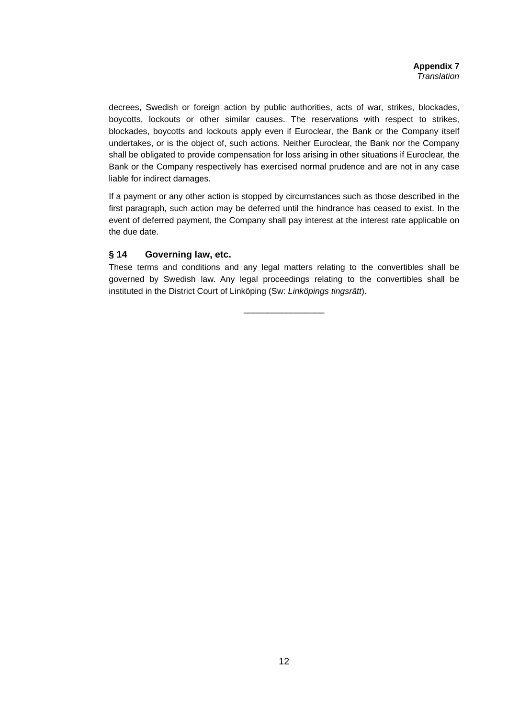decrees, Swedish or foreign action by public authorities, acts of war, strikes, blockades, boycotts, lockouts or other similar causes. The reservations with respect to strikes, blockades, boycotts and lockouts apply even if Euroclear, the Bank or the Company itself undertakes, or is the object of, such actions. Neither Euroclear, the Bank nor the Company shall be obligated to provide compensation for loss arising in other situations if Euroclear, the Bank or the Company respectively has exercised normal prudence and are not in any case liable for indirect damages.

If a payment or any other action is stopped by circumstances such as those described in the first paragraph, such action may be deferred until the hindrance has ceased to exist. In the event of deferred payment, the Company shall pay interest at the interest rate applicable on the due date.

#### **§ 14 Governing law, etc.**

These terms and conditions and any legal matters relating to the convertibles shall be governed by Swedish law. Any legal proceedings relating to the convertibles shall be instituted in the District Court of Linköping (Sw: *Linköpings tingsrätt*).

\_\_\_\_\_\_\_\_\_\_\_\_\_\_\_\_\_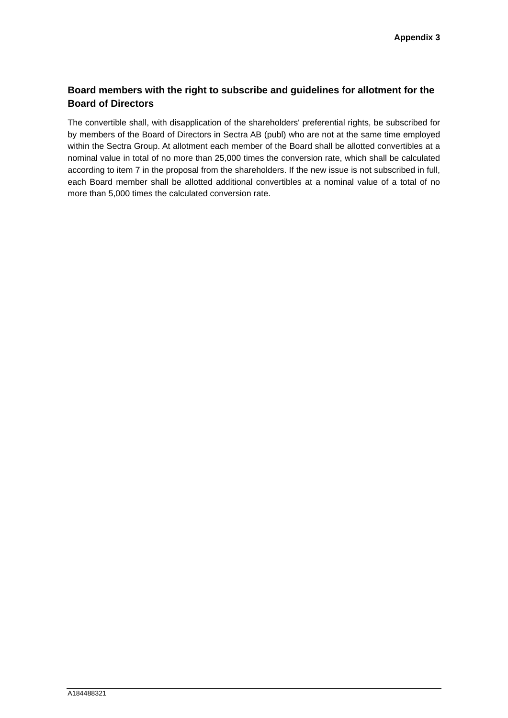## **Board members with the right to subscribe and guidelines for allotment for the Board of Directors**

The convertible shall, with disapplication of the shareholders' preferential rights, be subscribed for by members of the Board of Directors in Sectra AB (publ) who are not at the same time employed within the Sectra Group. At allotment each member of the Board shall be allotted convertibles at a nominal value in total of no more than 25,000 times the conversion rate, which shall be calculated according to item 7 in the proposal from the shareholders. If the new issue is not subscribed in full, each Board member shall be allotted additional convertibles at a nominal value of a total of no more than 5,000 times the calculated conversion rate.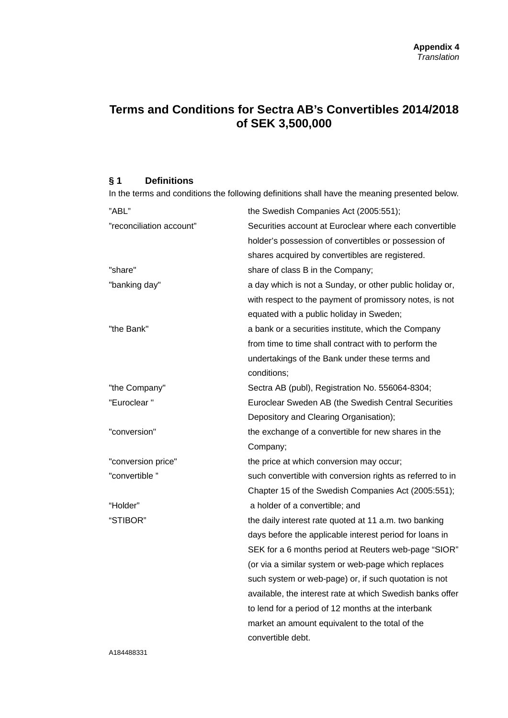# **Terms and Conditions for Sectra AB's Convertibles 2014/2018 of SEK 3,500,000**

#### **§ 1 Definitions**

In the terms and conditions the following definitions shall have the meaning presented below.

| "ABL"                    | the Swedish Companies Act (2005:551);                     |
|--------------------------|-----------------------------------------------------------|
| "reconciliation account" | Securities account at Euroclear where each convertible    |
|                          | holder's possession of convertibles or possession of      |
|                          | shares acquired by convertibles are registered.           |
| "share"                  | share of class B in the Company;                          |
| "banking day"            | a day which is not a Sunday, or other public holiday or,  |
|                          | with respect to the payment of promissory notes, is not   |
|                          | equated with a public holiday in Sweden;                  |
| "the Bank"               | a bank or a securities institute, which the Company       |
|                          | from time to time shall contract with to perform the      |
|                          | undertakings of the Bank under these terms and            |
|                          | conditions;                                               |
| "the Company"            | Sectra AB (publ), Registration No. 556064-8304;           |
| "Euroclear"              | Euroclear Sweden AB (the Swedish Central Securities       |
|                          | Depository and Clearing Organisation);                    |
| "conversion"             | the exchange of a convertible for new shares in the       |
|                          | Company;                                                  |
| "conversion price"       | the price at which conversion may occur;                  |
| "convertible"            | such convertible with conversion rights as referred to in |
|                          | Chapter 15 of the Swedish Companies Act (2005:551);       |
| "Holder"                 | a holder of a convertible; and                            |
| "STIBOR"                 | the daily interest rate quoted at 11 a.m. two banking     |
|                          | days before the applicable interest period for loans in   |
|                          | SEK for a 6 months period at Reuters web-page "SIOR"      |
|                          | (or via a similar system or web-page which replaces       |
|                          | such system or web-page) or, if such quotation is not     |
|                          | available, the interest rate at which Swedish banks offer |
|                          | to lend for a period of 12 months at the interbank        |
|                          | market an amount equivalent to the total of the           |
|                          | convertible debt.                                         |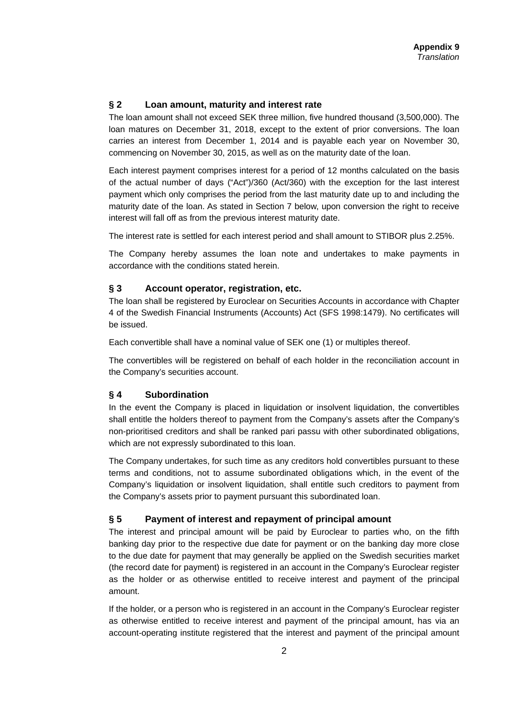#### **§ 2 Loan amount, maturity and interest rate**

The loan amount shall not exceed SEK three million, five hundred thousand (3,500,000). The loan matures on December 31, 2018, except to the extent of prior conversions. The loan carries an interest from December 1, 2014 and is payable each year on November 30, commencing on November 30, 2015, as well as on the maturity date of the loan.

Each interest payment comprises interest for a period of 12 months calculated on the basis of the actual number of days ("Act")/360 (Act/360) with the exception for the last interest payment which only comprises the period from the last maturity date up to and including the maturity date of the loan. As stated in Section 7 below, upon conversion the right to receive interest will fall off as from the previous interest maturity date.

The interest rate is settled for each interest period and shall amount to STIBOR plus 2.25%.

The Company hereby assumes the loan note and undertakes to make payments in accordance with the conditions stated herein.

#### **§ 3 Account operator, registration, etc.**

The loan shall be registered by Euroclear on Securities Accounts in accordance with Chapter 4 of the Swedish Financial Instruments (Accounts) Act (SFS 1998:1479). No certificates will be issued.

Each convertible shall have a nominal value of SEK one (1) or multiples thereof.

The convertibles will be registered on behalf of each holder in the reconciliation account in the Company's securities account.

#### **§ 4 Subordination**

In the event the Company is placed in liquidation or insolvent liquidation, the convertibles shall entitle the holders thereof to payment from the Company's assets after the Company's non-prioritised creditors and shall be ranked pari passu with other subordinated obligations, which are not expressly subordinated to this loan.

The Company undertakes, for such time as any creditors hold convertibles pursuant to these terms and conditions, not to assume subordinated obligations which, in the event of the Company's liquidation or insolvent liquidation, shall entitle such creditors to payment from the Company's assets prior to payment pursuant this subordinated loan.

#### **§ 5 Payment of interest and repayment of principal amount**

The interest and principal amount will be paid by Euroclear to parties who, on the fifth banking day prior to the respective due date for payment or on the banking day more close to the due date for payment that may generally be applied on the Swedish securities market (the record date for payment) is registered in an account in the Company's Euroclear register as the holder or as otherwise entitled to receive interest and payment of the principal amount.

If the holder, or a person who is registered in an account in the Company's Euroclear register as otherwise entitled to receive interest and payment of the principal amount, has via an account-operating institute registered that the interest and payment of the principal amount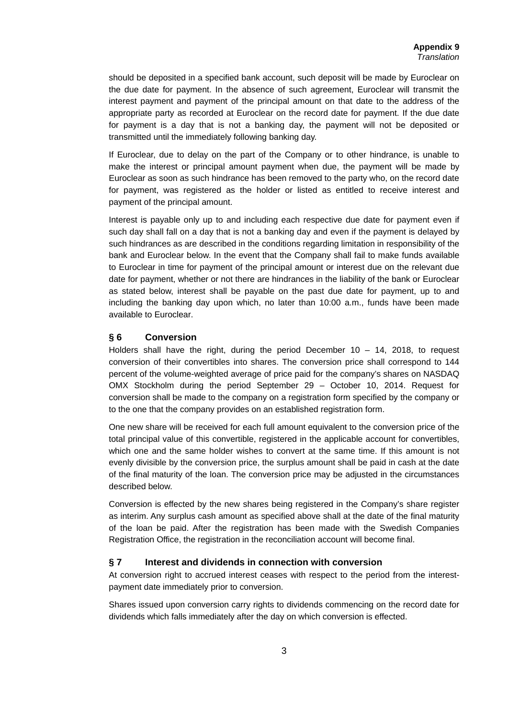should be deposited in a specified bank account, such deposit will be made by Euroclear on the due date for payment. In the absence of such agreement, Euroclear will transmit the interest payment and payment of the principal amount on that date to the address of the appropriate party as recorded at Euroclear on the record date for payment. If the due date for payment is a day that is not a banking day, the payment will not be deposited or transmitted until the immediately following banking day.

If Euroclear, due to delay on the part of the Company or to other hindrance, is unable to make the interest or principal amount payment when due, the payment will be made by Euroclear as soon as such hindrance has been removed to the party who, on the record date for payment, was registered as the holder or listed as entitled to receive interest and payment of the principal amount.

Interest is payable only up to and including each respective due date for payment even if such day shall fall on a day that is not a banking day and even if the payment is delayed by such hindrances as are described in the conditions regarding limitation in responsibility of the bank and Euroclear below. In the event that the Company shall fail to make funds available to Euroclear in time for payment of the principal amount or interest due on the relevant due date for payment, whether or not there are hindrances in the liability of the bank or Euroclear as stated below, interest shall be payable on the past due date for payment, up to and including the banking day upon which, no later than 10:00 a.m., funds have been made available to Euroclear.

#### **§ 6 Conversion**

Holders shall have the right, during the period December  $10 - 14$ , 2018, to request conversion of their convertibles into shares. The conversion price shall correspond to 144 percent of the volume-weighted average of price paid for the company's shares on NASDAQ OMX Stockholm during the period September 29 – October 10, 2014. Request for conversion shall be made to the company on a registration form specified by the company or to the one that the company provides on an established registration form.

One new share will be received for each full amount equivalent to the conversion price of the total principal value of this convertible, registered in the applicable account for convertibles, which one and the same holder wishes to convert at the same time. If this amount is not evenly divisible by the conversion price, the surplus amount shall be paid in cash at the date of the final maturity of the loan. The conversion price may be adjusted in the circumstances described below.

Conversion is effected by the new shares being registered in the Company's share register as interim. Any surplus cash amount as specified above shall at the date of the final maturity of the loan be paid. After the registration has been made with the Swedish Companies Registration Office, the registration in the reconciliation account will become final.

#### **§ 7 Interest and dividends in connection with conversion**

At conversion right to accrued interest ceases with respect to the period from the interestpayment date immediately prior to conversion.

Shares issued upon conversion carry rights to dividends commencing on the record date for dividends which falls immediately after the day on which conversion is effected.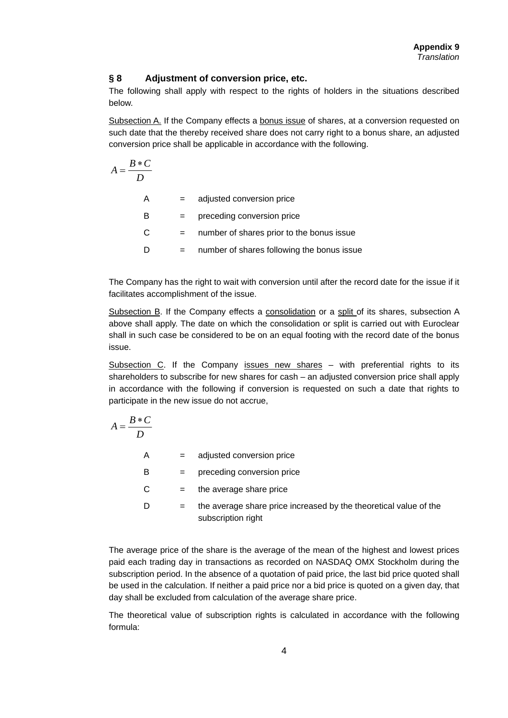#### **§ 8 Adjustment of conversion price, etc.**

The following shall apply with respect to the rights of holders in the situations described below.

Subsection A. If the Company effects a bonus issue of shares, at a conversion requested on such date that the thereby received share does not carry right to a bonus share, an adjusted conversion price shall be applicable in accordance with the following.

$$
A = \frac{B*C}{D}
$$
  
\nA = adjusted conversion price  
\nB = preceding conversion price  
\nC = number of shares prior to the bonus issue  
\nD = number of shares following the bonus issue

The Company has the right to wait with conversion until after the record date for the issue if it facilitates accomplishment of the issue.

Subsection B. If the Company effects a consolidation or a split of its shares, subsection A above shall apply. The date on which the consolidation or split is carried out with Euroclear shall in such case be considered to be on an equal footing with the record date of the bonus issue.

Subsection  $C$ . If the Company issues new shares  $-$  with preferential rights to its shareholders to subscribe for new shares for cash – an adjusted conversion price shall apply in accordance with the following if conversion is requested on such a date that rights to participate in the new issue do not accrue,

$$
A = \frac{B*C}{D}
$$

A = adjusted conversion price

B = preceding conversion price

 $C =$  the average share price

 $D =$  the average share price increased by the theoretical value of the subscription right

The average price of the share is the average of the mean of the highest and lowest prices paid each trading day in transactions as recorded on NASDAQ OMX Stockholm during the subscription period. In the absence of a quotation of paid price, the last bid price quoted shall be used in the calculation. If neither a paid price nor a bid price is quoted on a given day, that day shall be excluded from calculation of the average share price.

The theoretical value of subscription rights is calculated in accordance with the following formula: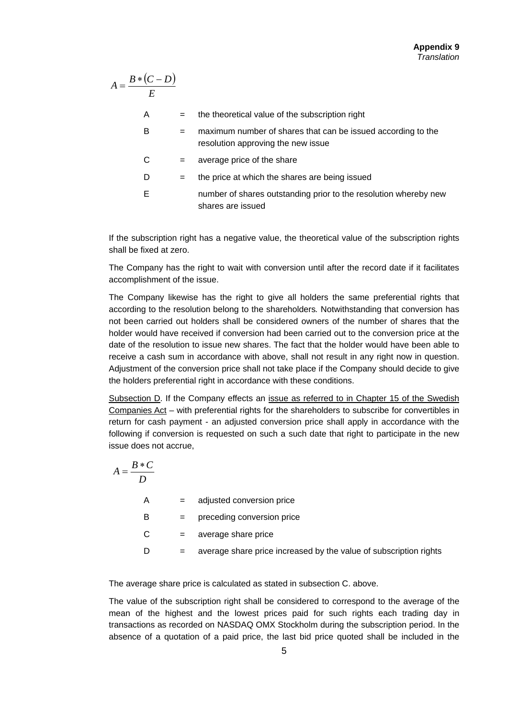$$
A = \frac{B * (C - D)}{E}
$$

| A | $=$ | the theoretical value of the subscription right                                                    |
|---|-----|----------------------------------------------------------------------------------------------------|
| В | $=$ | maximum number of shares that can be issued according to the<br>resolution approving the new issue |
| С | $=$ | average price of the share                                                                         |
| D | $=$ | the price at which the shares are being issued                                                     |
| F |     | number of shares outstanding prior to the resolution whereby new<br>shares are issued              |

If the subscription right has a negative value, the theoretical value of the subscription rights shall be fixed at zero.

The Company has the right to wait with conversion until after the record date if it facilitates accomplishment of the issue.

The Company likewise has the right to give all holders the same preferential rights that according to the resolution belong to the shareholders*.* Notwithstanding that conversion has not been carried out holders shall be considered owners of the number of shares that the holder would have received if conversion had been carried out to the conversion price at the date of the resolution to issue new shares. The fact that the holder would have been able to receive a cash sum in accordance with above, shall not result in any right now in question. Adjustment of the conversion price shall not take place if the Company should decide to give the holders preferential right in accordance with these conditions.

Subsection D. If the Company effects an issue as referred to in Chapter 15 of the Swedish Companies Act – with preferential rights for the shareholders to subscribe for convertibles in return for cash payment - an adjusted conversion price shall apply in accordance with the following if conversion is requested on such a such date that right to participate in the new issue does not accrue,

| $A = \frac{B*C}{A}$ |     |                                                                   |
|---------------------|-----|-------------------------------------------------------------------|
| A                   | $=$ | adjusted conversion price                                         |
| в                   | $=$ | preceding conversion price                                        |
| С                   | $=$ | average share price                                               |
| D                   | $=$ | average share price increased by the value of subscription rights |

The average share price is calculated as stated in subsection C. above.

The value of the subscription right shall be considered to correspond to the average of the mean of the highest and the lowest prices paid for such rights each trading day in transactions as recorded on NASDAQ OMX Stockholm during the subscription period. In the absence of a quotation of a paid price, the last bid price quoted shall be included in the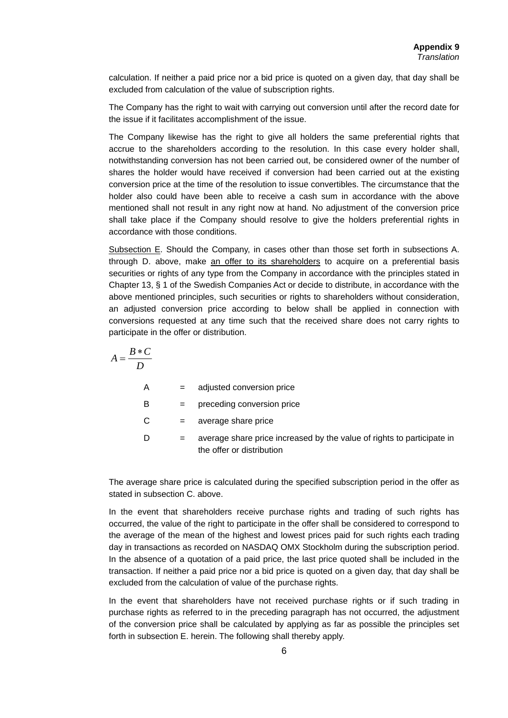calculation. If neither a paid price nor a bid price is quoted on a given day, that day shall be excluded from calculation of the value of subscription rights.

The Company has the right to wait with carrying out conversion until after the record date for the issue if it facilitates accomplishment of the issue.

The Company likewise has the right to give all holders the same preferential rights that accrue to the shareholders according to the resolution. In this case every holder shall, notwithstanding conversion has not been carried out, be considered owner of the number of shares the holder would have received if conversion had been carried out at the existing conversion price at the time of the resolution to issue convertibles. The circumstance that the holder also could have been able to receive a cash sum in accordance with the above mentioned shall not result in any right now at hand*.* No adjustment of the conversion price shall take place if the Company should resolve to give the holders preferential rights in accordance with those conditions.

Subsection E. Should the Company, in cases other than those set forth in subsections A. through D. above, make an offer to its shareholders to acquire on a preferential basis securities or rights of any type from the Company in accordance with the principles stated in Chapter 13, § 1 of the Swedish Companies Act or decide to distribute, in accordance with the above mentioned principles, such securities or rights to shareholders without consideration, an adjusted conversion price according to below shall be applied in connection with conversions requested at any time such that the received share does not carry rights to participate in the offer or distribution.

| $B*C$<br>$A = \frac{1}{2}$ |     |                                                                                                     |
|----------------------------|-----|-----------------------------------------------------------------------------------------------------|
| A                          | $=$ | adjusted conversion price                                                                           |
| в                          | $=$ | preceding conversion price                                                                          |
| С                          | $=$ | average share price                                                                                 |
| D                          | $=$ | average share price increased by the value of rights to participate in<br>the offer or distribution |

The average share price is calculated during the specified subscription period in the offer as stated in subsection C. above.

In the event that shareholders receive purchase rights and trading of such rights has occurred, the value of the right to participate in the offer shall be considered to correspond to the average of the mean of the highest and lowest prices paid for such rights each trading day in transactions as recorded on NASDAQ OMX Stockholm during the subscription period. In the absence of a quotation of a paid price, the last price quoted shall be included in the transaction. If neither a paid price nor a bid price is quoted on a given day, that day shall be excluded from the calculation of value of the purchase rights.

In the event that shareholders have not received purchase rights or if such trading in purchase rights as referred to in the preceding paragraph has not occurred, the adjustment of the conversion price shall be calculated by applying as far as possible the principles set forth in subsection E. herein. The following shall thereby apply.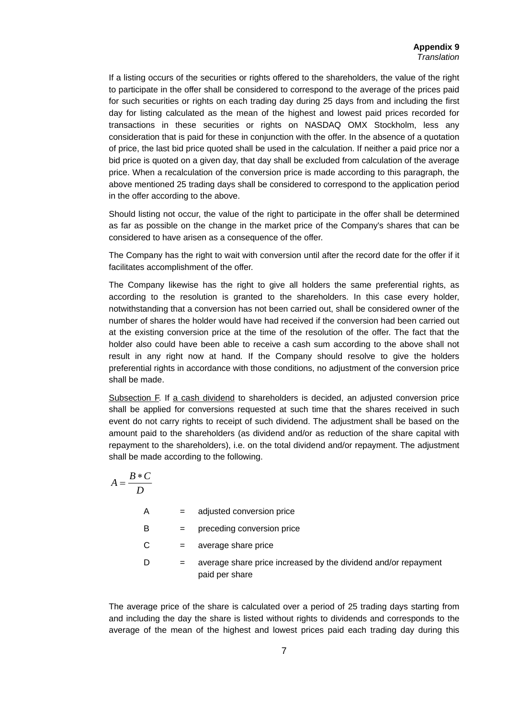If a listing occurs of the securities or rights offered to the shareholders, the value of the right to participate in the offer shall be considered to correspond to the average of the prices paid for such securities or rights on each trading day during 25 days from and including the first day for listing calculated as the mean of the highest and lowest paid prices recorded for transactions in these securities or rights on NASDAQ OMX Stockholm, less any consideration that is paid for these in conjunction with the offer. In the absence of a quotation of price, the last bid price quoted shall be used in the calculation. If neither a paid price nor a bid price is quoted on a given day, that day shall be excluded from calculation of the average price. When a recalculation of the conversion price is made according to this paragraph, the above mentioned 25 trading days shall be considered to correspond to the application period in the offer according to the above.

Should listing not occur, the value of the right to participate in the offer shall be determined as far as possible on the change in the market price of the Company's shares that can be considered to have arisen as a consequence of the offer.

The Company has the right to wait with conversion until after the record date for the offer if it facilitates accomplishment of the offer.

The Company likewise has the right to give all holders the same preferential rights, as according to the resolution is granted to the shareholders. In this case every holder, notwithstanding that a conversion has not been carried out, shall be considered owner of the number of shares the holder would have had received if the conversion had been carried out at the existing conversion price at the time of the resolution of the offer. The fact that the holder also could have been able to receive a cash sum according to the above shall not result in any right now at hand*.* If the Company should resolve to give the holders preferential rights in accordance with those conditions, no adjustment of the conversion price shall be made.

Subsection F. If a cash dividend to shareholders is decided, an adjusted conversion price shall be applied for conversions requested at such time that the shares received in such event do not carry rights to receipt of such dividend. The adjustment shall be based on the amount paid to the shareholders (as dividend and/or as reduction of the share capital with repayment to the shareholders), i.e. on the total dividend and/or repayment. The adjustment shall be made according to the following.

$$
A = \frac{B*C}{D}
$$
  
\nA = adjusted conversion price  
\nB = preceding conversion price  
\nC = average share price  
\nD = average share price increased by the dividend and/or repayment  
\npaid per share

The average price of the share is calculated over a period of 25 trading days starting from and including the day the share is listed without rights to dividends and corresponds to the average of the mean of the highest and lowest prices paid each trading day during this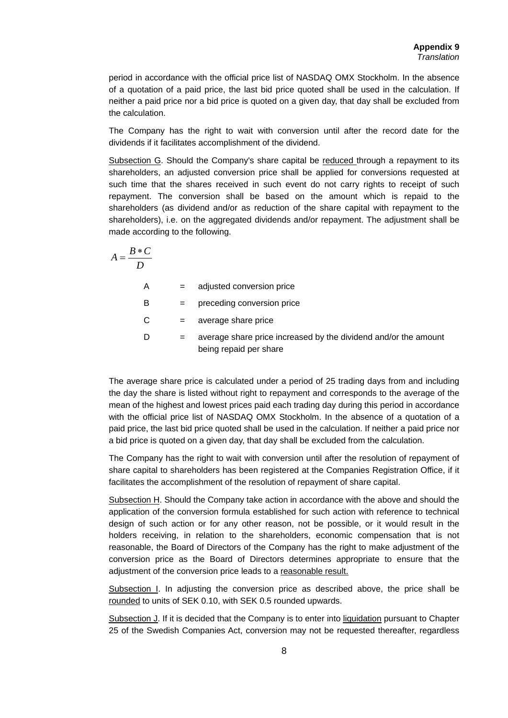period in accordance with the official price list of NASDAQ OMX Stockholm. In the absence of a quotation of a paid price, the last bid price quoted shall be used in the calculation. If neither a paid price nor a bid price is quoted on a given day, that day shall be excluded from the calculation.

The Company has the right to wait with conversion until after the record date for the dividends if it facilitates accomplishment of the dividend.

Subsection G. Should the Company's share capital be reduced through a repayment to its shareholders, an adjusted conversion price shall be applied for conversions requested at such time that the shares received in such event do not carry rights to receipt of such repayment. The conversion shall be based on the amount which is repaid to the shareholders (as dividend and/or as reduction of the share capital with repayment to the shareholders), i.e. on the aggregated dividends and/or repayment. The adjustment shall be made according to the following.

$$
A = \frac{B*C}{D}
$$

A = adjusted conversion price

B = preceding conversion price

 $C = average share price$ 

D  $=$  average share price increased by the dividend and/or the amount being repaid per share

The average share price is calculated under a period of 25 trading days from and including the day the share is listed without right to repayment and corresponds to the average of the mean of the highest and lowest prices paid each trading day during this period in accordance with the official price list of NASDAQ OMX Stockholm. In the absence of a quotation of a paid price, the last bid price quoted shall be used in the calculation. If neither a paid price nor a bid price is quoted on a given day, that day shall be excluded from the calculation.

The Company has the right to wait with conversion until after the resolution of repayment of share capital to shareholders has been registered at the Companies Registration Office, if it facilitates the accomplishment of the resolution of repayment of share capital.

Subsection H. Should the Company take action in accordance with the above and should the application of the conversion formula established for such action with reference to technical design of such action or for any other reason, not be possible, or it would result in the holders receiving, in relation to the shareholders, economic compensation that is not reasonable, the Board of Directors of the Company has the right to make adjustment of the conversion price as the Board of Directors determines appropriate to ensure that the adjustment of the conversion price leads to a reasonable result.

Subsection I. In adjusting the conversion price as described above, the price shall be rounded to units of SEK 0.10, with SEK 0.5 rounded upwards.

Subsection J. If it is decided that the Company is to enter into liquidation pursuant to Chapter 25 of the Swedish Companies Act, conversion may not be requested thereafter, regardless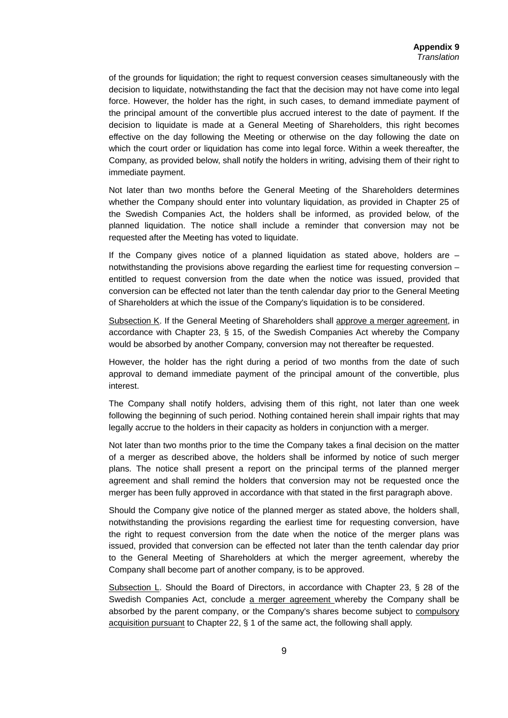of the grounds for liquidation; the right to request conversion ceases simultaneously with the decision to liquidate, notwithstanding the fact that the decision may not have come into legal force. However, the holder has the right, in such cases, to demand immediate payment of the principal amount of the convertible plus accrued interest to the date of payment. If the decision to liquidate is made at a General Meeting of Shareholders, this right becomes effective on the day following the Meeting or otherwise on the day following the date on which the court order or liquidation has come into legal force. Within a week thereafter, the Company, as provided below, shall notify the holders in writing, advising them of their right to immediate payment.

Not later than two months before the General Meeting of the Shareholders determines whether the Company should enter into voluntary liquidation, as provided in Chapter 25 of the Swedish Companies Act, the holders shall be informed, as provided below, of the planned liquidation. The notice shall include a reminder that conversion may not be requested after the Meeting has voted to liquidate.

If the Company gives notice of a planned liquidation as stated above, holders are – notwithstanding the provisions above regarding the earliest time for requesting conversion – entitled to request conversion from the date when the notice was issued, provided that conversion can be effected not later than the tenth calendar day prior to the General Meeting of Shareholders at which the issue of the Company's liquidation is to be considered.

Subsection K. If the General Meeting of Shareholders shall approve a merger agreement, in accordance with Chapter 23, § 15, of the Swedish Companies Act whereby the Company would be absorbed by another Company, conversion may not thereafter be requested.

However, the holder has the right during a period of two months from the date of such approval to demand immediate payment of the principal amount of the convertible, plus interest.

The Company shall notify holders, advising them of this right, not later than one week following the beginning of such period. Nothing contained herein shall impair rights that may legally accrue to the holders in their capacity as holders in conjunction with a merger.

Not later than two months prior to the time the Company takes a final decision on the matter of a merger as described above, the holders shall be informed by notice of such merger plans. The notice shall present a report on the principal terms of the planned merger agreement and shall remind the holders that conversion may not be requested once the merger has been fully approved in accordance with that stated in the first paragraph above.

Should the Company give notice of the planned merger as stated above, the holders shall, notwithstanding the provisions regarding the earliest time for requesting conversion, have the right to request conversion from the date when the notice of the merger plans was issued, provided that conversion can be effected not later than the tenth calendar day prior to the General Meeting of Shareholders at which the merger agreement, whereby the Company shall become part of another company, is to be approved.

Subsection L. Should the Board of Directors, in accordance with Chapter 23, § 28 of the Swedish Companies Act, conclude a merger agreement whereby the Company shall be absorbed by the parent company, or the Company's shares become subject to compulsory acquisition pursuant to Chapter 22, § 1 of the same act, the following shall apply.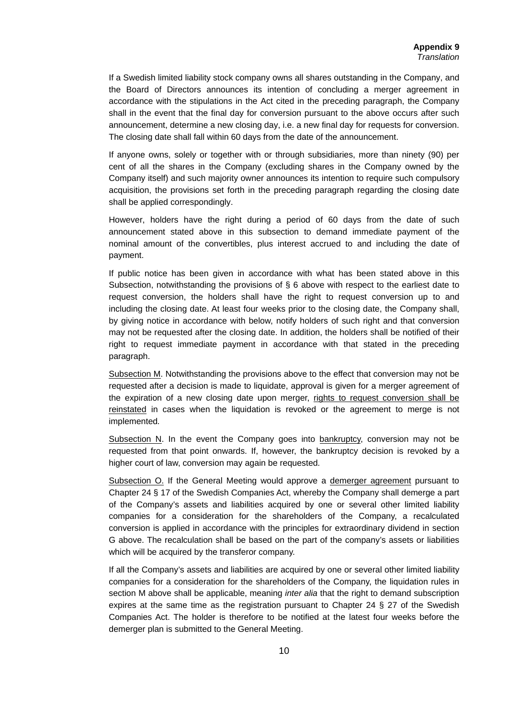If a Swedish limited liability stock company owns all shares outstanding in the Company, and the Board of Directors announces its intention of concluding a merger agreement in accordance with the stipulations in the Act cited in the preceding paragraph, the Company shall in the event that the final day for conversion pursuant to the above occurs after such announcement, determine a new closing day, i.e. a new final day for requests for conversion. The closing date shall fall within 60 days from the date of the announcement.

If anyone owns, solely or together with or through subsidiaries, more than ninety (90) per cent of all the shares in the Company (excluding shares in the Company owned by the Company itself) and such majority owner announces its intention to require such compulsory acquisition, the provisions set forth in the preceding paragraph regarding the closing date shall be applied correspondingly.

However, holders have the right during a period of 60 days from the date of such announcement stated above in this subsection to demand immediate payment of the nominal amount of the convertibles, plus interest accrued to and including the date of payment.

If public notice has been given in accordance with what has been stated above in this Subsection, notwithstanding the provisions of § 6 above with respect to the earliest date to request conversion, the holders shall have the right to request conversion up to and including the closing date. At least four weeks prior to the closing date, the Company shall, by giving notice in accordance with below, notify holders of such right and that conversion may not be requested after the closing date. In addition, the holders shall be notified of their right to request immediate payment in accordance with that stated in the preceding paragraph.

Subsection M. Notwithstanding the provisions above to the effect that conversion may not be requested after a decision is made to liquidate, approval is given for a merger agreement of the expiration of a new closing date upon merger, rights to request conversion shall be reinstated in cases when the liquidation is revoked or the agreement to merge is not implemented*.*

Subsection N. In the event the Company goes into bankruptcy, conversion may not be requested from that point onwards. If, however, the bankruptcy decision is revoked by a higher court of law, conversion may again be requested*.* 

Subsection O. If the General Meeting would approve a demerger agreement pursuant to Chapter 24 § 17 of the Swedish Companies Act, whereby the Company shall demerge a part of the Company's assets and liabilities acquired by one or several other limited liability companies for a consideration for the shareholders of the Company, a recalculated conversion is applied in accordance with the principles for extraordinary dividend in section G above. The recalculation shall be based on the part of the company's assets or liabilities which will be acquired by the transferor company.

If all the Company's assets and liabilities are acquired by one or several other limited liability companies for a consideration for the shareholders of the Company, the liquidation rules in section M above shall be applicable, meaning *inter alia* that the right to demand subscription expires at the same time as the registration pursuant to Chapter 24 § 27 of the Swedish Companies Act. The holder is therefore to be notified at the latest four weeks before the demerger plan is submitted to the General Meeting.